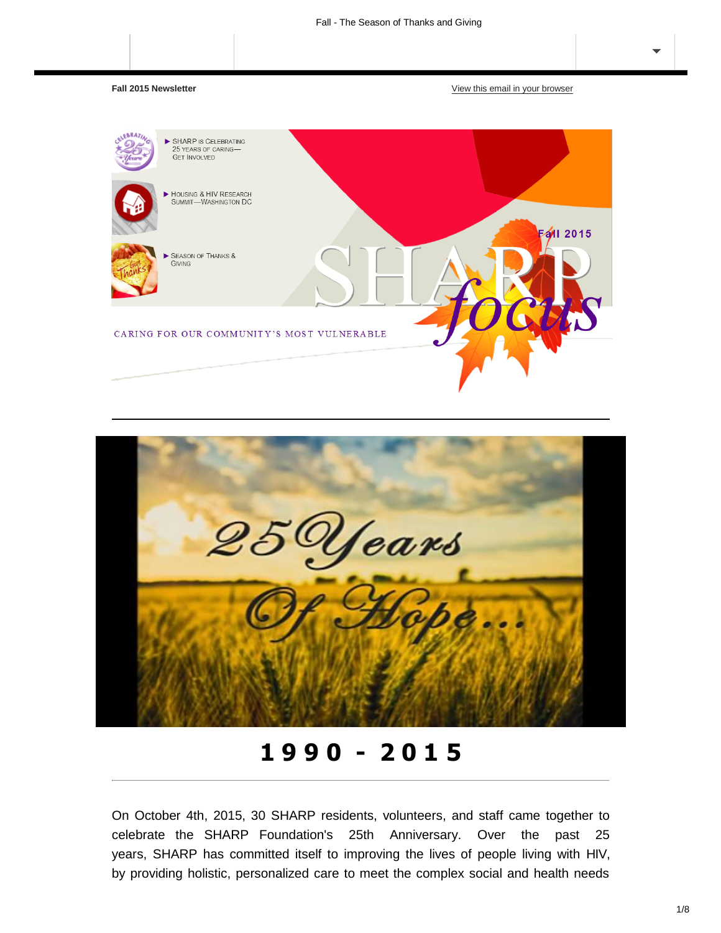**Fall 2015 Newsletter** [View this email in your](https://us10.campaign-archive.com/?e=%5BUNIQID%5D&u=fa3de6d798158d87b94a6fcc5&id=ecba17cdfa) browser





**1 9 9 0 - 2 0 1 5**

On October 4th, 2015, 30 SHARP residents, volunteers, and staff came together to celebrate the SHARP Foundation's 25th Anniversary. Over the past 25 years, SHARP has committed itself to improving the lives of people living with HIV, by providing holistic, personalized care to meet the complex social and health needs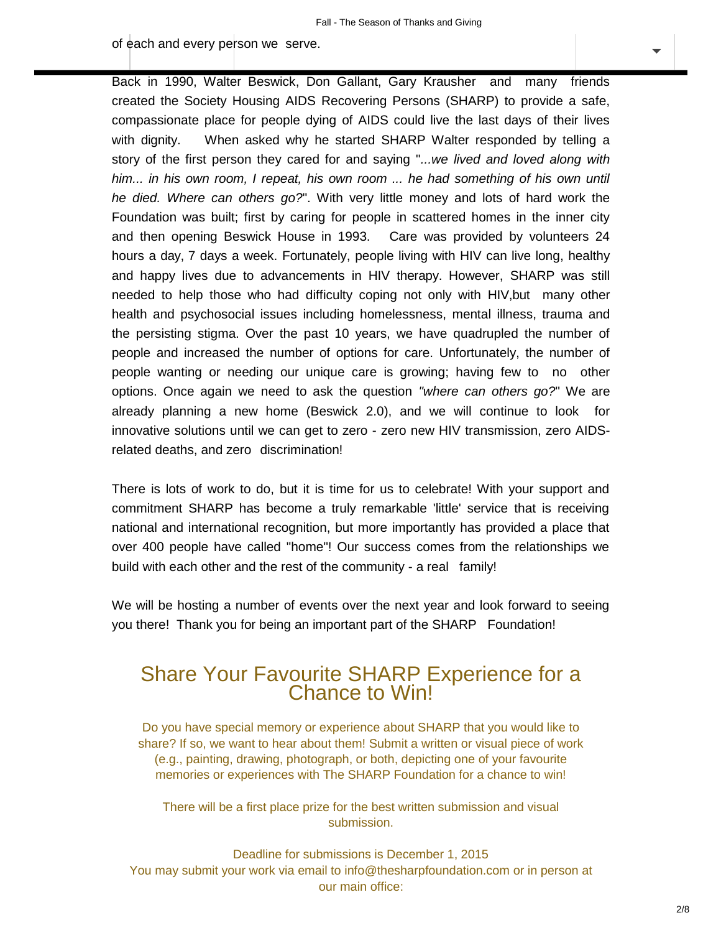[of](http://eepurl.com/bjzMeH) [each and every](https://us10.campaign-archive.com/home/?u=fa3de6d798158d87b94a6fcc5&id=8d2e199861) person we serve.

Back in 1990, Walter Beswick, Don Gallant, Gary Krausher and many friends created the Society Housing AIDS Recovering Persons (SHARP) to provide a safe, compassionate place for people dying of AIDS could live the last days of their lives with dignity. When asked why he started SHARP Walter responded by telling a story of the first person they cared for and saying "*...we lived and loved along with him... in his own room, I repeat, his own room ... he had something of his own until he died. Where can others go?*". With very little money and lots of hard work the Foundation was built; first by caring for people in scattered homes in the inner city and then opening Beswick House in 1993. Care was provided by volunteers 24 hours a day, 7 days a week. Fortunately, people living with HIV can live long, healthy and happy lives due to advancements in HIV therapy. However, SHARP was still needed to help those who had difficulty coping not only with HIV,but many other health and psychosocial issues including homelessness, mental illness, trauma and the persisting stigma. Over the past 10 years, we have quadrupled the number of people and increased the number of options for care. Unfortunately, the number of people wanting or needing our unique care is growing; having few to no other options. Once again we need to ask the question *"where can others go?*" We are already planning a new home (Beswick 2.0), and we will continue to look for innovative solutions until we can get to zero - zero new HIV transmission, zero AIDSrelated deaths, and zero discrimination!

There is lots of work to do, but it is time for us to celebrate! With your support and commitment SHARP has become a truly remarkable 'little' service that is receiving national and international recognition, but more importantly has provided a place that over 400 people have called "home"! Our success comes from the relationships we build with each other and the rest of the community - a real family!

We will be hosting a number of events over the next year and look forward to seeing you there! Thank you for being an important part of the SHARP Foundation!

## Share Your Favourite SHARP Experience for a Chance to Win!

Do you have special memory or experience about SHARP that you would like to share? If so, we want to hear about them! Submit a written or visual piece of work (e.g., painting, drawing, photograph, or both, depicting one of your favourite memories or experiences with The SHARP Foundation for a chance to win!

There will be a first place prize for the best written submission and visual submission.

Deadline for submissions is December 1, 2015 [You may submit your work via email to info@thesharpfoundation.com](mailto:info@thesharpfoundation.com) or in person at our main office: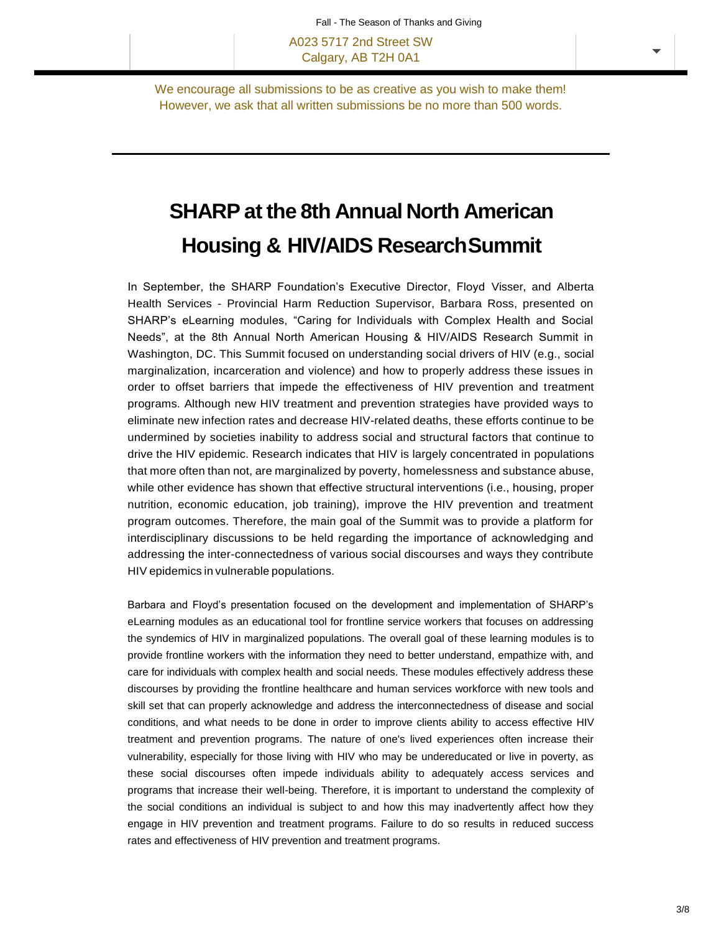A023 5717 2nd Street SW Calgary, AB T2H 0A1

We encourage all submissions to be as creative as you wish to make them! However, we ask that all written submissions be no more than 500 words.

# **SHARP at the 8th Annual North American Housing & HIV/AIDS ResearchSummit**

In September, the SHARP Foundation's Executive Director, Floyd Visser, and Alberta Health Services - Provincial Harm Reduction Supervisor, Barbara Ross, presented on SHARP's eLearning modules, "Caring for Individuals with Complex Health and Social Needs", at the 8th Annual North American Housing & HIV/AIDS Research Summit in Washington, DC. This Summit focused on understanding social drivers of HIV (e.g., social marginalization, incarceration and violence) and how to properly address these issues in order to offset barriers that impede the effectiveness of HIV prevention and treatment programs. Although new HIV treatment and prevention strategies have provided ways to eliminate new infection rates and decrease HIV-related deaths, these efforts continue to be undermined by societies inability to address social and structural factors that continue to drive the HIV epidemic. Research indicates that HIV is largely concentrated in populations that more often than not, are marginalized by poverty, homelessness and substance abuse, while other evidence has shown that effective structural interventions (i.e., housing, proper nutrition, economic education, job training), improve the HIV prevention and treatment program outcomes. Therefore, the main goal of the Summit was to provide a platform for interdisciplinary discussions to be held regarding the importance of acknowledging and addressing the inter-connectedness of various social discourses and ways they contribute HIV epidemics in vulnerable populations.

Barbara and Floyd's presentation focused on the development and implementation of SHARP's eLearning modules as an educational tool for frontline service workers that focuses on addressing the syndemics of HIV in marginalized populations. The overall goal of these learning modules is to provide frontline workers with the information they need to better understand, empathize with, and care for individuals with complex health and social needs. These modules effectively address these discourses by providing the frontline healthcare and human services workforce with new tools and skill set that can properly acknowledge and address the interconnectedness of disease and social conditions, and what needs to be done in order to improve clients ability to access effective HIV treatment and prevention programs. The nature of one's lived experiences often increase their vulnerability, especially for those living with HIV who may be undereducated or live in poverty, as these social discourses often impede individuals ability to adequately access services and programs that increase their well-being. Therefore, it is important to understand the complexity of the social conditions an individual is subject to and how this may inadvertently affect how they engage in HIV prevention and treatment programs. Failure to do so results in reduced success rates and effectiveness of HIV prevention and treatment programs.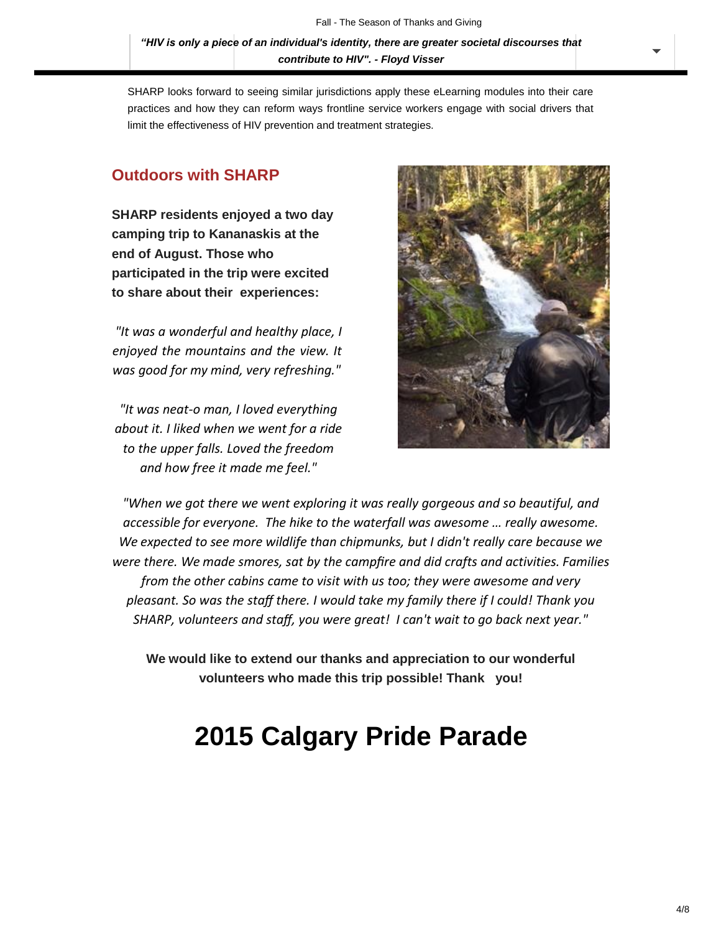*["HIV is only a piece](https://us10.campaign-archive.com/home/?u=fa3de6d798158d87b94a6fcc5&id=8d2e199861) of an individual's identity, there are greater societal discourses that contribute to HIV". - Floyd Visser*

SHARP looks forward to seeing similar jurisdictions apply these eLearning modules into their care practices and how they can reform ways frontline service workers engage with social drivers that limit the effectiveness of HIV prevention and treatment strategies.

### **Outdoors with SHARP**

**SHARP residents enjoyed a two day camping trip to Kananaskis at the end of August. Those who participated in the trip were excited to share about their experiences:**

*"It was a wonderful and healthy place, I enjoyed the mountains and the view. It was good for my mind, very refreshing."*

*"It was neat-o man, I loved everything about it. I liked when we went for a ride to the upper falls. Loved the freedom and how free it made me feel."*



*"When we got there we went exploring it was really gorgeous and so beautiful, and accessible for everyone. The hike to the waterfall was awesome … really awesome. We expected to see more wildlife than chipmunks, but I didn't really care because we were there. We made smores, sat by the campfire and did crafts and activities. Families from the other cabins came to visit with us too; they were awesome and very pleasant. So was the staff there. I would take my family there if I could! Thank you SHARP, volunteers and staff, you were great! I can't wait to go back next year."*

**We would like to extend our thanks and appreciation to our wonderful volunteers who made this trip possible! Thank you!**

# **2015 Calgary Pride Parade**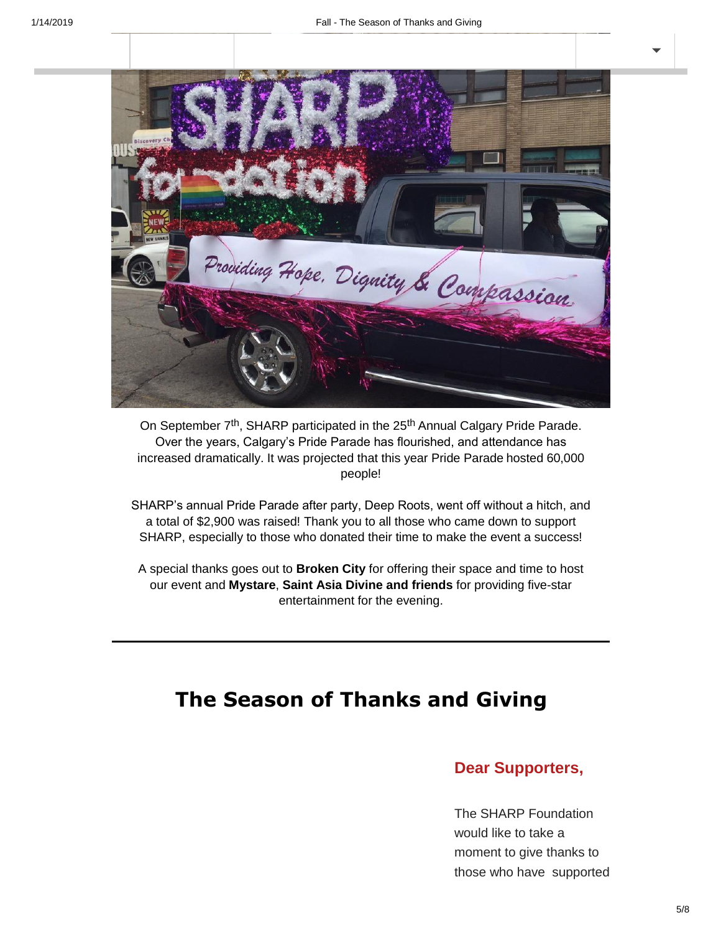

On September 7<sup>th</sup>, SHARP participated in the 25<sup>th</sup> Annual Calgary Pride Parade. Over the years, Calgary's Pride Parade has flourished, and attendance has increased dramatically. It was projected that this year Pride Parade hosted 60,000 people!

SHARP's annual Pride Parade after party, Deep Roots, went off without a hitch, and a total of \$2,900 was raised! Thank you to all those who came down to support SHARP, especially to those who donated their time to make the event a success!

A special thanks goes out to **Broken City** for offering their space and time to host our event and **Mystare**, **Saint Asia Divine and friends** for providing five-star entertainment for the evening.

# **The Season of Thanks and Giving**

#### **Dear Supporters,**

The SHARP Foundation would like to take a moment to give thanks to those who have supported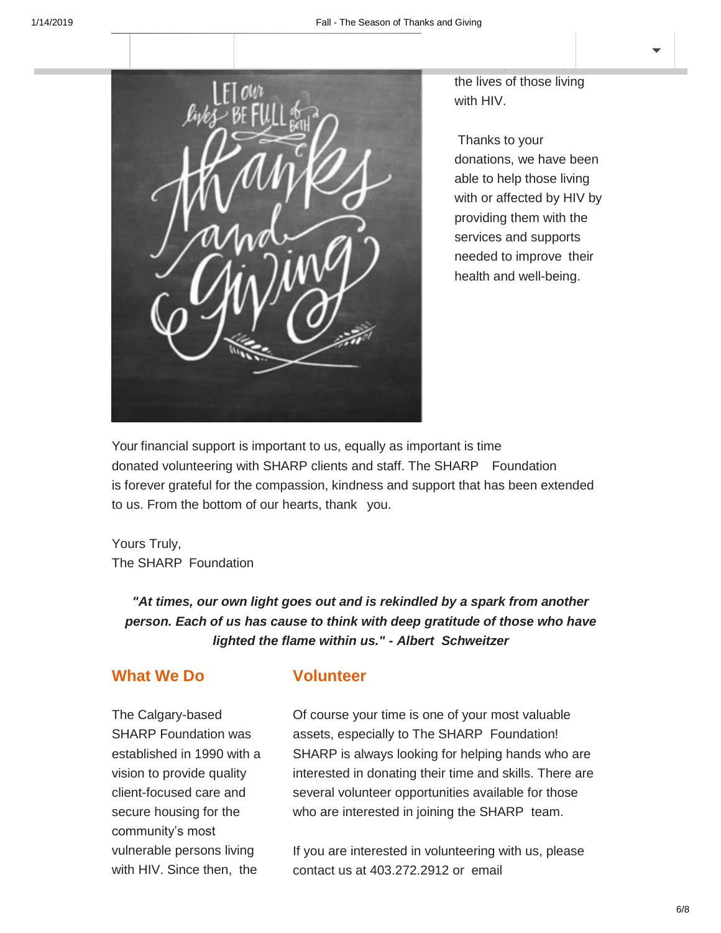

the lives of those living with HIV.

us over the years and who have helped us improve

Thanks to your donations, we have been able to help those living with or affected by HIV by providing them with the services and supports needed to improve their health and well-being.

Your financial support is important to us, equally as important is time donated volunteering with SHARP clients and staff. The SHARP Foundation is forever grateful for the compassion, kindness and support that has been extended to us. From the bottom of our hearts, thank you.

Yours Truly, The SHARP Foundation

*"At times, our own light goes out and is rekindled by a spark from another person. Each of us has cause to think with deep gratitude of those who have lighted the flame within us." - Albert Schweitzer*

## **What We Do**

### **Volunteer**

The Calgary-based SHARP Foundation was established in 1990 with a vision to provide quality client-focused care and secure housing for the community's most vulnerable persons living with HIV. Since then, the

Of course your time is one of your most valuable assets, especially to The SHARP Foundation! SHARP is always looking for helping hands who are interested in donating their time and skills. There are several volunteer opportunities available for those who are interested in joining the SHARP team.

If you are interested in volunteering with us, please contact us at 403.272.2912 or email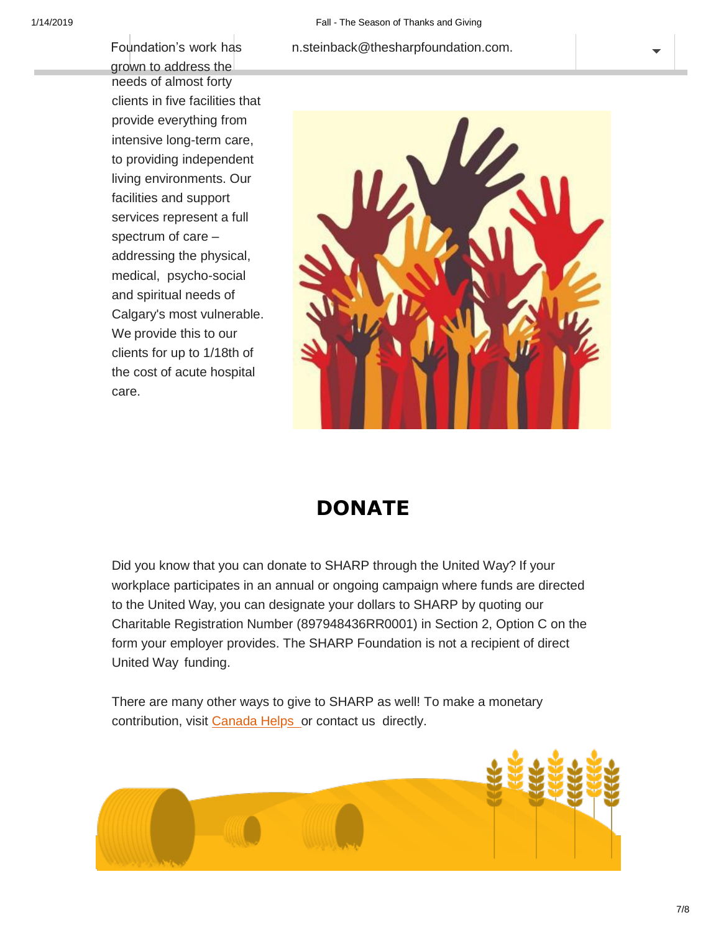#### Foundation's [work](https://us10.campaign-archive.com/home/?u=fa3de6d798158d87b94a6fcc5&id=8d2e199861) has [n.steinback@thesharpfoundation.com.](mailto:n.steinback@thesharpfoundation.com)

grown [to address the](https://us10.campaign-archive.com/home/?u=fa3de6d798158d87b94a6fcc5&id=8d2e199861) needs of almost forty clients in five facilities that provide everything from intensive long-term care, to providing independent living environments. Our facilities and support services represent a full spectrum of care – addressing the physical, medical, psycho-social and spiritual needs of Calgary's most vulnerable. We provide this to our clients for up to 1/18th of the cost of acute hospital care.



# **DONATE**

Did you know that you can donate to SHARP through the United Way? If your workplace participates in an annual or ongoing campaign where funds are directed to the United Way, you can designate your dollars to SHARP by quoting our Charitable Registration Number (897948436RR0001) in Section 2, Option C on the form your employer provides. The SHARP Foundation is not a recipient of direct United Way funding.

There are many other ways to give to SHARP as well! To make a monetary contribution, visit [Canada Helps](http://www.canadahelps.org/) or contact us directly.